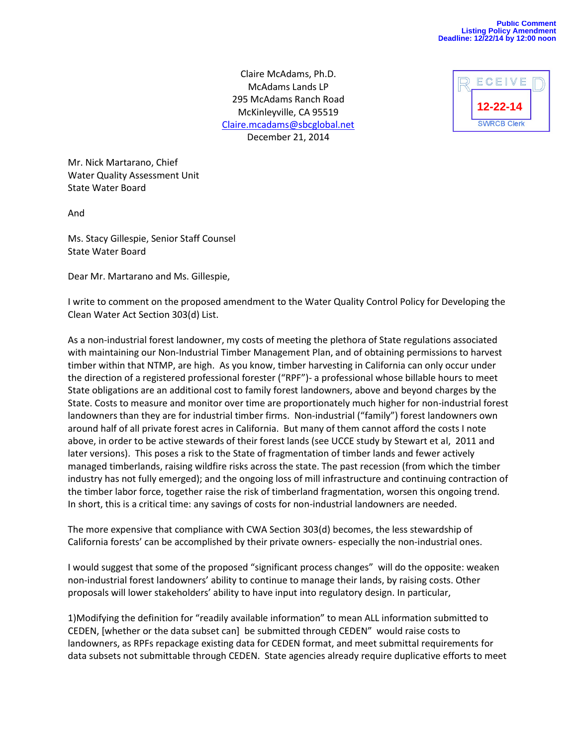Claire McAdams, Ph.D. McAdams Lands LP 295 McAdams Ranch Road McKinleyville, CA 95519 [Claire.mcadams@sbcglobal.net](mailto:Claire.mcadams@sbcglobal.net) December 21, 2014



Mr. Nick Martarano, Chief Water Quality Assessment Unit State Water Board

And

Ms. Stacy Gillespie, Senior Staff Counsel State Water Board

Dear Mr. Martarano and Ms. Gillespie,

I write to comment on the proposed amendment to the Water Quality Control Policy for Developing the Clean Water Act Section 303(d) List.

As a non-industrial forest landowner, my costs of meeting the plethora of State regulations associated with maintaining our Non-Industrial Timber Management Plan, and of obtaining permissions to harvest timber within that NTMP, are high. As you know, timber harvesting in California can only occur under the direction of a registered professional forester ("RPF")- a professional whose billable hours to meet State obligations are an additional cost to family forest landowners, above and beyond charges by the State. Costs to measure and monitor over time are proportionately much higher for non-industrial forest landowners than they are for industrial timber firms. Non-industrial ("family") forest landowners own around half of all private forest acres in California. But many of them cannot afford the costs I note above, in order to be active stewards of their forest lands (see UCCE study by Stewart et al, 2011 and later versions). This poses a risk to the State of fragmentation of timber lands and fewer actively managed timberlands, raising wildfire risks across the state. The past recession (from which the timber industry has not fully emerged); and the ongoing loss of mill infrastructure and continuing contraction of the timber labor force, together raise the risk of timberland fragmentation, worsen this ongoing trend. In short, this is a critical time: any savings of costs for non-industrial landowners are needed.

The more expensive that compliance with CWA Section 303(d) becomes, the less stewardship of California forests' can be accomplished by their private owners- especially the non-industrial ones.

I would suggest that some of the proposed "significant process changes" will do the opposite: weaken non-industrial forest landowners' ability to continue to manage their lands, by raising costs. Other proposals will lower stakeholders' ability to have input into regulatory design. In particular,

1)Modifying the definition for "readily available information" to mean ALL information submitted to CEDEN, [whether or the data subset can] be submitted through CEDEN" would raise costs to landowners, as RPFs repackage existing data for CEDEN format, and meet submittal requirements for data subsets not submittable through CEDEN. State agencies already require duplicative efforts to meet